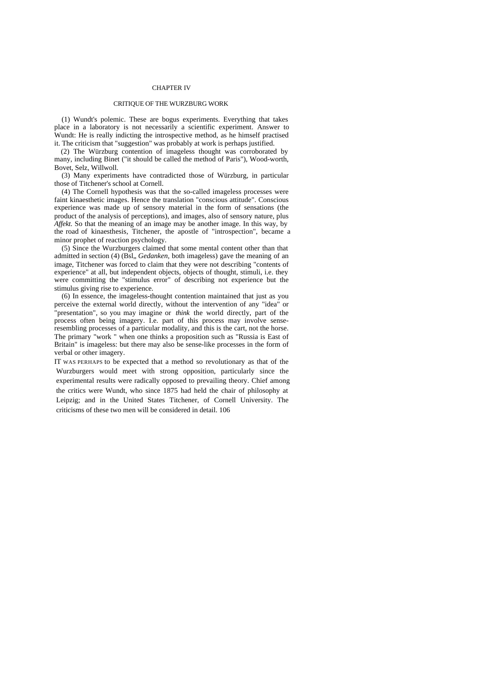# CHAPTER IV

# CRITIQUE OF THE WURZBURG WORK

(1) Wundt's polemic. These are bogus experiments. Everything that takes place in a laboratory is not necessarily a scientific experiment. Answer to Wundt: He is really indicting the introspective method, as he himself practised it. The criticism that "suggestion" was probably at work is perhaps justified.

(2) The Würzburg contention of imageless thought was corroborated by many, including Binet ("it should be called the method of Paris"), Wood-worth, Bovet, Selz, Willwoll.

(3) Many experiments have contradicted those of Würzburg, in particular those of Titchener's school at Cornell.

(4) The Cornell hypothesis was that the so-called imageless processes were faint kinaesthetic images. Hence the translation "conscious attitude". Conscious experience was made up of sensory material in the form of sensations (the product of the analysis of perceptions), and images, also of sensory nature, plus *Affekt.* So that the meaning of an image may be another image. In this way, by the road of kinaesthesis, Titchener, the apostle of "introspection", became a minor prophet of reaction psychology.

(5) Since the Wurzburgers claimed that some mental content other than that admitted in section (4) (Bsl., *Gedanken*, both imageless) gave the meaning of an image, Titchener was forced to claim that they were not describing "contents of experience" at all, but independent objects, objects of thought, stimuli, i.e. they were committing the "stimulus error" of describing not experience but the stimulus giving rise to experience.

(6) In essence, the imageless-thought contention maintained that just as you perceive the external world directly, without the intervention of any "idea" or "presentation", so you may imagine or *think* the world directly, part of the process often being imagery. I.e. part of this process may involve senseresembling processes of a particular modality, and this is the cart, not the horse. The primary "work " when one thinks a proposition such as "Russia is East of Britain" is imageless: but there may also be sense-like processes in the form of verbal or other imagery.

IT WAS PERHAPS to be expected that a method so revolutionary as that of the Wurzburgers would meet with strong opposition, particularly since the experimental results were radically opposed to prevailing theory. Chief among the critics were Wundt, who since 1875 had held the chair of philosophy at Leipzig; and in the United States Titchener, of Cornell University. The criticisms of these two men will be considered in detail. 106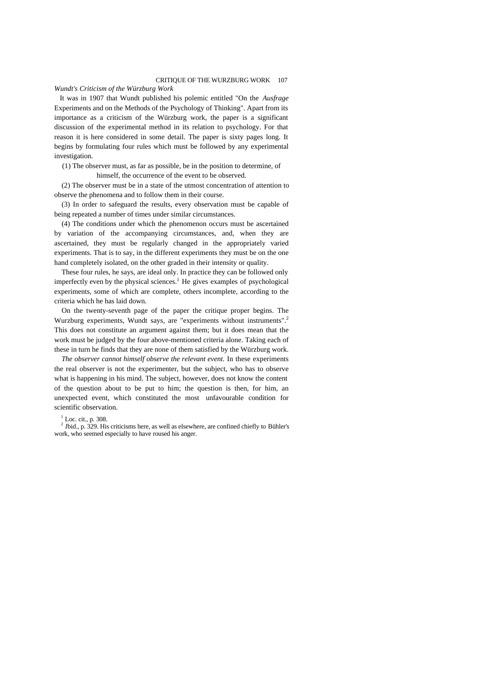# *Wundt's Criticism of the Würzburg Work*

It was in 1907 that Wundt published his polemic entitled "On the *Ausfrage* Experiments and on the Methods of the Psychology of Thinking". Apart from its importance as a criticism of the Würzburg work, the paper is a significant discussion of the experimental method in its relation to psychology. For that reason it is here considered in some detail. The paper is sixty pages long. It begins by formulating four rules which must be followed by any experimental investigation.

(1) The observer must, as far as possible, be in the position to determine, of himself, the occurrence of the event to be observed.

(2) The observer must be in a state of the utmost concentration of attention to observe the phenomena and to follow them in their course.

(3) In order to safeguard the results, every observation must be capable of being repeated a number of times under similar circumstances.

(4) The conditions under which the phenomenon occurs must be ascertained by variation of the accompanying circumstances, and, when they are ascertained, they must be regularly changed in the appropriately varied experiments. That is to say, in the different experiments they must be on the one hand completely isolated, on the other graded in their intensity or quality.

These four rules, he says, are ideal only. In practice they can be followed only imperfectly even by the physical sciences.<sup>1</sup> He gives examples of psychological experiments, some of which are complete, others incomplete, according to the criteria which he has laid down.

On the twenty-seventh page of the paper the critique proper begins. The Wurzburg experiments, Wundt says, are "experiments without instruments".<sup>2</sup> This does not constitute an argument against them; but it does mean that the work must be judged by the four above-mentioned criteria alone. Taking each of these in turn he finds that they are none of them satisfied by the Würzburg work.

*The observer cannot himself observe the relevant event.* In these experiments the real observer is not the experimenter, but the subject, who has to observe what is happening in his mind. The subject, however, does not know the content of the question about to be put to him; the question is then, for him, an unexpected event, which constituted the most unfavourable condition for scientific observation.

 $<sup>1</sup>$  Loc. cit., p. 308.</sup>

 $2^2$  *I*bid., p. 329. His criticisms here, as well as elsewhere, are confined chiefly to Bühler's work, who seemed especially to have roused his anger.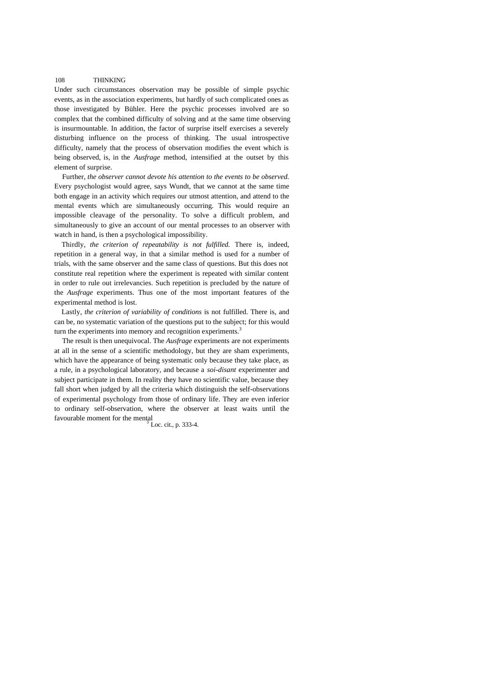Under such circumstances observation may be possible of simple psychic events, as in the association experiments, but hardly of such complicated ones as those investigated by Bühler. Here the psychic processes involved are so complex that the combined difficulty of solving and at the same time observing is insurmountable. In addition, the factor of surprise itself exercises a severely disturbing influence on the process of thinking. The usual introspective difficulty, namely that the process of observation modifies the event which is being observed, is, in the *Ausfrage* method, intensified at the outset by this element of surprise.

Further, *the observer cannot devote his attention to the events to be observed.* Every psychologist would agree, says Wundt, that we cannot at the same time both engage in an activity which requires our utmost attention, and attend to the mental events which are simultaneously occurring. This would require an impossible cleavage of the personality. To solve a difficult problem, and simultaneously to give an account of our mental processes to an observer with watch in hand, is then a psychological impossibility.

Thirdly, *the criterion of repeatability is not fulfilled.* There is, indeed, repetition in a general way, in that a similar method is used for a number of trials, with the same observer and the same class of questions. But this does not constitute real repetition where the experiment is repeated with similar content in order to rule out irrelevancies. Such repetition is precluded by the nature of the *Ausfrage* experiments. Thus one of the most important features of the experimental method is lost.

Lastly, *the criterion of variability of conditions* is not fulfilled. There is, and can be, no systematic variation of the questions put to the subject; for this would turn the experiments into memory and recognition experiments.<sup>3</sup>

The result is then unequivocal. The *Ausfrage* experiments are not experiments at all in the sense of a scientific methodology, but they are sham experiments, which have the appearance of being systematic only because they take place, as a rule, in a psychological laboratory, and because a *soi-disant* experimenter and subject participate in them. In reality they have no scientific value, because they fall short when judged by all the criteria which distinguish the self-observations of experimental psychology from those of ordinary life. They are even inferior to ordinary self-observation, where the observer at least waits until the favourable moment for the mental

Loc. cit., p. 333-4.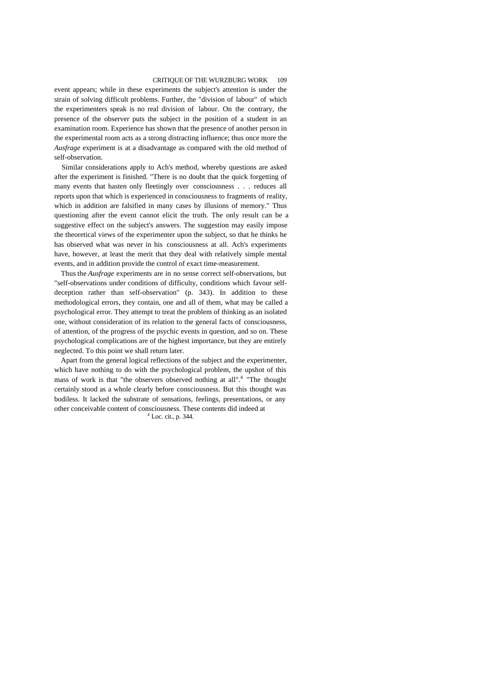event appears; while in these experiments the subject's attention is under the strain of solving difficult problems. Further, the "division of labour" of which the experimenters speak is no real division of labour. On the contrary, the presence of the observer puts the subject in the position of a student in an examination room. Experience has shown that the presence of another person in the experimental room acts as a strong distracting influence; thus once more the *Ausfrage* experiment is at a disadvantage as compared with the old method of self-observation.

Similar considerations apply to Ach's method, whereby questions are asked after the experiment is finished. "There is no doubt that the quick forgetting of many events that hasten only fleetingly over consciousness . . . reduces all reports upon that which is experienced in consciousness to fragments of reality, which in addition are falsified in many cases by illusions of memory." Thus questioning after the event cannot elicit the truth. The only result can be a suggestive effect on the subject's answers. The suggestion may easily impose the theoretical views of the experimenter upon the subject, so that he thinks he has observed what was never in his consciousness at all. Ach's experiments have, however, at least the merit that they deal with relatively simple mental events, and in addition provide the control of exact time-measurement.

Thus the *Ausfrage* experiments are in no sense correct self-observations, but "self-observations under conditions of difficulty, conditions which favour selfdeception rather than self-observation" (p. 343). In addition to these methodological errors, they contain, one and all of them, what may be called a psychological error. They attempt to treat the problem of thinking as an isolated one, without consideration of its relation to the general facts of consciousness, of attention, of the progress of the psychic events in question, and so on. These psychological complications are of the highest importance, but they are entirely neglected. To this point we shall return later.

Apart from the general logical reflections of the subject and the experimenter, which have nothing to do with the psychological problem, the upshot of this mass of work is that "the observers observed nothing at all".<sup>4</sup> "The thought certainly stood as a whole clearly before consciousness. But this thought was bodiless. It lacked the substrate of sensations, feelings, presentations, or any other conceivable content of consciousness. These contents did indeed at

4 Loc. cit., p. 344.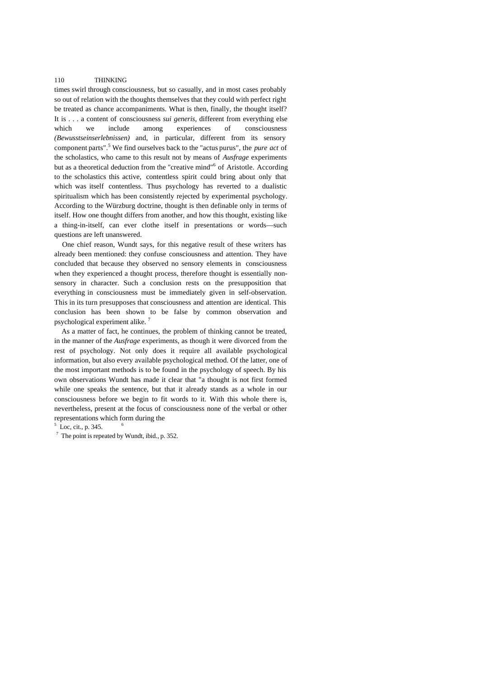times swirl through consciousness, but so casually, and in most cases probably so out of relation with the thoughts themselves that they could with perfect right be treated as chance accompaniments. What is then, finally, the thought itself? It is . . . a content of consciousness *sui generis,* different from everything else which we include among experiences of consciousness *(Bewusstseinserlebnissen)* and, in particular, different from its sensory component parts".<sup>5</sup> We find ourselves back to the "actus purus", the *pure act* of the scholastics, who came to this result not by means of *Ausfrage* experiments but as a theoretical deduction from the "creative mind"<sup>6</sup> of Aristotle. According to the scholastics this active, contentless spirit could bring about only that which was itself contentless. Thus psychology has reverted to a dualistic spiritualism which has been consistently rejected by experimental psychology. According to the Würzburg doctrine, thought is then definable only in terms of itself. How one thought differs from another, and how this thought, existing like a thing-in-itself, can ever clothe itself in presentations or words—such questions are left unanswered.

One chief reason, Wundt says, for this negative result of these writers has already been mentioned: they confuse consciousness and attention. They have concluded that because they observed no sensory elements in consciousness when they experienced a thought process, therefore thought is essentially nonsensory in character. Such a conclusion rests on the presupposition that everything in consciousness must be immediately given in self-observation. This in its turn presupposes that consciousness and attention are identical. This conclusion has been shown to be false by common observation and psychological experiment alike. <sup>7</sup>

As a matter of fact, he continues, the problem of thinking cannot be treated, in the manner of the *Ausfrage* experiments, as though it were divorced from the rest of psychology. Not only does it require all available psychological information, but also every available psychological method. Of the latter, one of the most important methods is to be found in the psychology of speech. By his own observations Wundt has made it clear that "a thought is not first formed while one speaks the sentence, but that it already stands as a whole in our consciousness before we begin to fit words to it. With this whole there is, nevertheless, present at the focus of consciousness none of the verbal or other representations which form during the

 $5$  Loc, cit., p. 345.  $6$ 

 $7$  The point is repeated by Wundt, ibid., p. 352.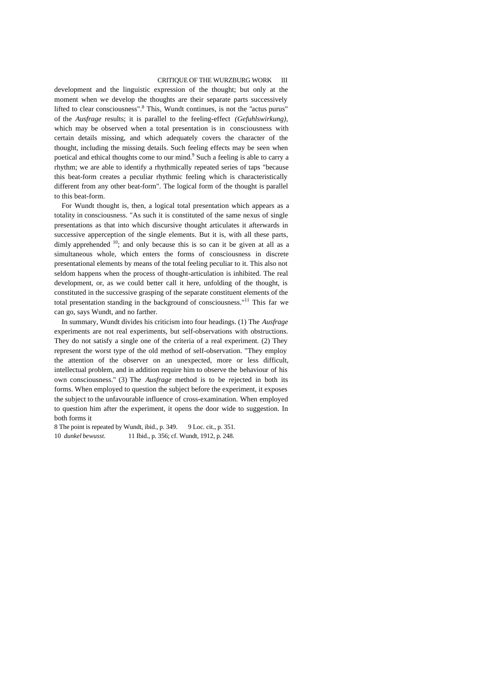development and the linguistic expression of the thought; but only at the moment when we develop the thoughts are their separate parts successively lifted to clear consciousness".<sup>8</sup> This, Wundt continues, is not the "actus purus" of the *Ausfrage* results; it is parallel to the feeling-effect *(Gefuhlswirkung),* which may be observed when a total presentation is in consciousness with certain details missing, and which adequately covers the character of the thought, including the missing details. Such feeling effects may be seen when poetical and ethical thoughts come to our mind.<sup>9</sup> Such a feeling is able to carry a rhythm; we are able to identify a rhythmically repeated series of taps "because this beat-form creates a peculiar rhythmic feeling which is characteristically different from any other beat-form". The logical form of the thought is parallel to this beat-form.

For Wundt thought is, then, a logical total presentation which appears as a totality in consciousness. "As such it is constituted of the same nexus of single presentations as that into which discursive thought articulates it afterwards in successive apperception of the single elements. But it is, with all these parts, dimly apprehended  $10$ ; and only because this is so can it be given at all as a simultaneous whole, which enters the forms of consciousness in discrete presentational elements by means of the total feeling peculiar to it. This also not seldom happens when the process of thought-articulation is inhibited. The real development, or, as we could better call it here, unfolding of the thought, is constituted in the successive grasping of the separate constituent elements of the total presentation standing in the background of consciousness."<sup>11</sup> This far we can go, says Wundt, and no farther.

In summary, Wundt divides his criticism into four headings. (1) The *Ausfrage* experiments are not real experiments, but self-observations with obstructions. They do not satisfy a single one of the criteria of a real experiment. (2) They represent the worst type of the old method of self-observation. "They employ the attention of the observer on an unexpected, more or less difficult, intellectual problem, and in addition require him to observe the behaviour of his own consciousness." (3) The *Ausfrage* method is to be rejected in both its forms. When employed to question the subject before the experiment, it exposes the subject to the unfavourable influence of cross-examination. When employed to question him after the experiment, it opens the door wide to suggestion. In both forms it

8 The point is repeated by Wundt, ibid., p. 349. 9 Loc. cit., p. 351. 10 *dunkel bewusst.* 11 Ibid., p. 356; cf. Wundt, 1912, p. 248.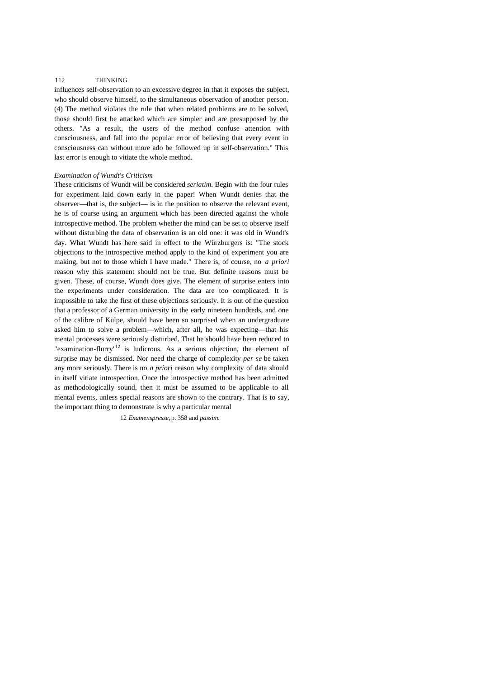influences self-observation to an excessive degree in that it exposes the subject, who should observe himself, to the simultaneous observation of another person. (4) The method violates the rule that when related problems are to be solved, those should first be attacked which are simpler and are presupposed by the others. "As a result, the users of the method confuse attention with consciousness, and fall into the popular error of believing that every event in consciousness can without more ado be followed up in self-observation." This last error is enough to vitiate the whole method.

## *Examination of Wundt's Criticism*

These criticisms of Wundt will be considered *seriatim.* Begin with the four rules for experiment laid down early in the paper! When Wundt denies that the observer—that is, the subject— is in the position to observe the relevant event, he is of course using an argument which has been directed against the whole introspective method. The problem whether the mind can be set to observe itself without disturbing the data of observation is an old one: it was old in Wundt's day. What Wundt has here said in effect to the Würzburgers is: "The stock objections to the introspective method apply to the kind of experiment you are making, but not to those which I have made." There is, of course, no *a priori* reason why this statement should not be true. But definite reasons must be given. These, of course, Wundt does give. The element of surprise enters into the experiments under consideration. The data are too complicated. It is impossible to take the first of these objections seriously. It is out of the question that a professor of a German university in the early nineteen hundreds, and one of the calibre of Külpe, should have been so surprised when an undergraduate asked him to solve a problem—which, after all, he was expecting—that his mental processes were seriously disturbed. That he should have been reduced to "examination-flurry"<sup>12</sup> is ludicrous. As a serious objection, the element of surprise may be dismissed. Nor need the charge of complexity *per se* be taken any more seriously. There is no *a priori* reason why complexity of data should in itself vitiate introspection. Once the introspective method has been admitted as methodologically sound, then it must be assumed to be applicable to all mental events, unless special reasons are shown to the contrary. That is to say, the important thing to demonstrate is why a particular mental

12 *Examenspresse,* p. 358 and *passim.*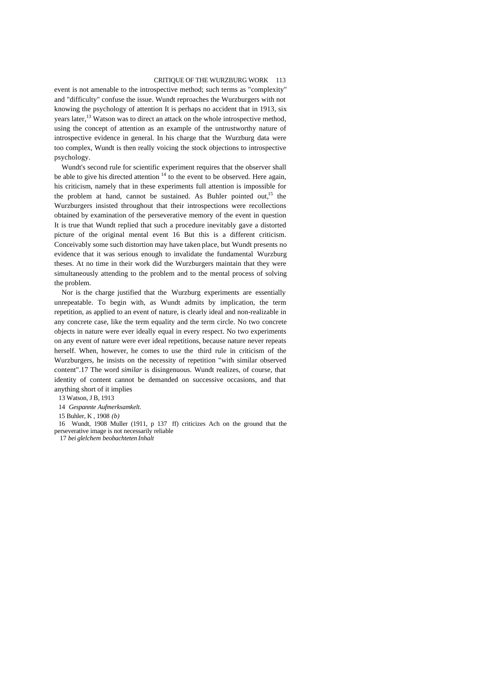event is not amenable to the introspective method; such terms as "complexity" and "difficulty" confuse the issue. Wundt reproaches the Wurzburgers with not knowing the psychology of attention It is perhaps no accident that in 1913, six years later,<sup>13</sup> Watson was to direct an attack on the whole introspective method, using the concept of attention as an example of the untrustworthy nature of introspective evidence in general. In his charge that the Wurzburg data were too complex, Wundt is then really voicing the stock objections to introspective psychology.

Wundt's second rule for scientific experiment requires that the observer shall be able to give his directed attention  $14$  to the event to be observed. Here again, his criticism, namely that in these experiments full attention is impossible for the problem at hand, cannot be sustained. As Buhler pointed out,<sup>15</sup> the Wurzburgers insisted throughout that their introspections were recollections obtained by examination of the perseverative memory of the event in question It is true that Wundt replied that such a procedure inevitably gave a distorted picture of the original mental event 16 But this is a different criticism. Conceivably some such distortion may have taken place, but Wundt presents no evidence that it was serious enough to invalidate the fundamental Wurzburg theses. At no time in their work did the Wurzburgers maintain that they were simultaneously attending to the problem and to the mental process of solving the problem.

Nor is the charge justified that the Wurzburg experiments are essentially unrepeatable. To begin with, as Wundt admits by implication, the term repetition, as applied to an event of nature, is clearly ideal and non-realizable in any concrete case, like the term equality and the term circle. No two concrete objects in nature were ever ideally equal in every respect. No two experiments on any event of nature were ever ideal repetitions, because nature never repeats herself. When, however, he comes to use the third rule in criticism of the Wurzburgers, he insists on the necessity of repetition "with similar observed content".17 The word *similar* is disingenuous. Wundt realizes, of course, that identity of content cannot be demanded on successive occasions, and that anything short of it implies

13 Watson, J B, 1913

14 *Gespannte Aufmerksamkelt.*

15 Buhler, K , 1908 *(b)*

16 Wundt, 1908 Muller (1911, p 137 ff) criticizes Ach on the ground that the perseverative image is not necessarily reliable

17 *bei glelchem beobachteten Inhalt*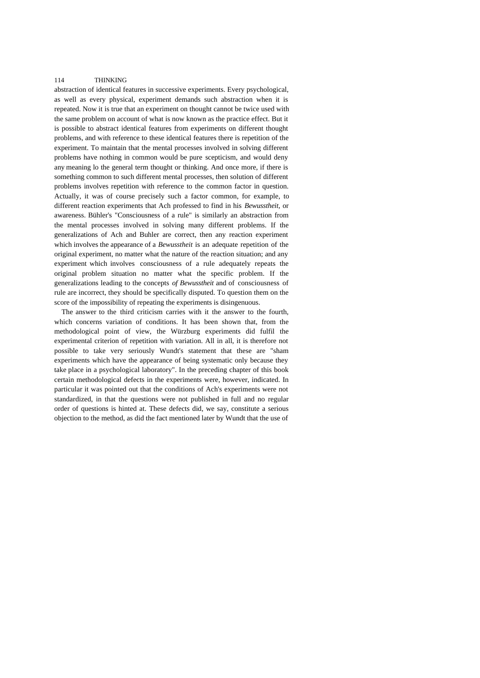abstraction of identical features in successive experiments. Every psychological, as well as every physical, experiment demands such abstraction when it is repeated. Now it is true that an experiment on thought cannot be twice used with the same problem on account of what is now known as the practice effect. But it is possible to abstract identical features from experiments on different thought problems, and with reference to these identical features there is repetition of the experiment. To maintain that the mental processes involved in solving different problems have nothing in common would be pure scepticism, and would deny any meaning lo the general term thought or thinking. And once more, if there is something common to such different mental processes, then solution of different problems involves repetition with reference to the common factor in question. Actually, it was of course precisely such a factor common, for example, to different reaction experiments that Ach professed to find in his *Bewusstheit,* or awareness. Bühler's "Consciousness of a rule" is similarly an abstraction from the mental processes involved in solving many different problems. If the generalizations of Ach and Buhler are correct, then any reaction experiment which involves the appearance of a *Bewusstheit* is an adequate repetition of the original experiment, no matter what the nature of the reaction situation; and any experiment which involves consciousness of a rule adequately repeats the original problem situation no matter what the specific problem. If the generalizations leading to the concepts *of Bewusstheit* and of consciousness of rule are incorrect, they should be specifically disputed. To question them on the score of the impossibility of repeating the experiments is disingenuous.

The answer to the third criticism carries with it the answer to the fourth, which concerns variation of conditions. It has been shown that, from the methodological point of view, the Würzburg experiments did fulfil the experimental criterion of repetition with variation. All in all, it is therefore not possible to take very seriously Wundt's statement that these are "sham experiments which have the appearance of being systematic only because they take place in a psychological laboratory". In the preceding chapter of this book certain methodological defects in the experiments were, however, indicated. In particular it was pointed out that the conditions of Ach's experiments were not standardized, in that the questions were not published in full and no regular order of questions is hinted at. These defects did, we say, constitute a serious objection to the method, as did the fact mentioned later by Wundt that the use of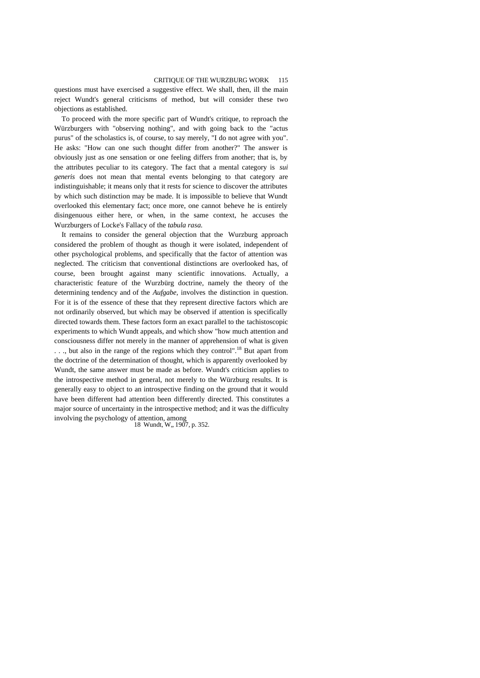questions must have exercised a suggestive effect. We shall, then, ill the main reject Wundt's general criticisms of method, but will consider these two objections as established.

To proceed with the more specific part of Wundt's critique, to reproach the Würzburgers with "observing nothing", and with going back to the "actus purus" of the scholastics is, of course, to say merely, "I do not agree with you". He asks: "How can one such thought differ from another?" The answer is obviously just as one sensation or one feeling differs from another; that is, by the attributes peculiar to its category. The fact that a mental category is *sui generis* does not mean that mental events belonging to that category are indistinguishable; it means only that it rests for science to discover the attributes by which such distinction may be made. It is impossible to believe that Wundt overlooked this elementary fact; once more, one cannot beheve he is entirely disingenuous either here, or when, in the same context, he accuses the Wurzburgers of Locke's Fallacy of the *tabula rasa.*

It remains to consider the general objection that the Wurzburg approach considered the problem of thought as though it were isolated, independent of other psychological problems, and specifically that the factor of attention was neglected. The criticism that conventional distinctions are overlooked has, of course, been brought against many scientific innovations. Actually, a characteristic feature of the Wurzbürg doctrine, namely the theory of the determining tendency and of the *Aufgabe,* involves the distinction in question. For it is of the essence of these that they represent directive factors which are not ordinarily observed, but which may be observed if attention is specifically directed towards them. These factors form an exact parallel to the tachistoscopic experiments to which Wundt appeals, and which show "how much attention and consciousness differ not merely in the manner of apprehension of what is given  $\ldots$ , but also in the range of the regions which they control".<sup>18</sup> But apart from the doctrine of the determination of thought, which is apparently overlooked by Wundt, the same answer must be made as before. Wundt's criticism applies to the introspective method in general, not merely to the Würzburg results. It is generally easy to object to an introspective finding on the ground that it would have been different had attention been differently directed. This constitutes a major source of uncertainty in the introspective method; and it was the difficulty involving the psychology of attention, among<br>18 Wundt, W., 1907, p. 352.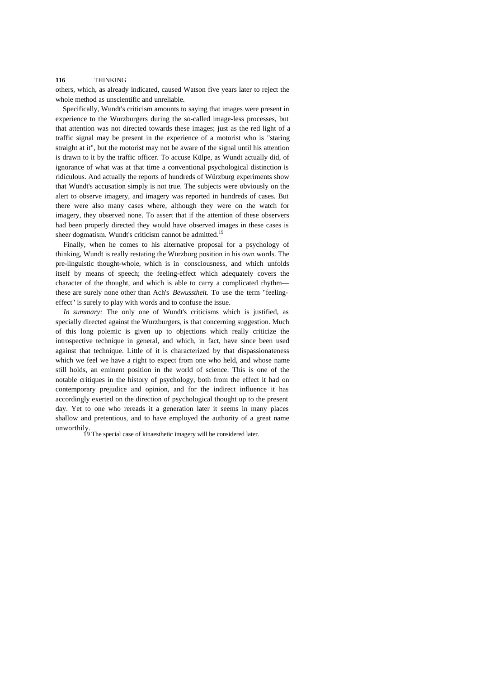others, which, as already indicated, caused Watson five years later to reject the whole method as unscientific and unreliable.

Specifically, Wundt's criticism amounts to saying that images were present in experience to the Wurzburgers during the so-called image-less processes, but that attention was not directed towards these images; just as the red light of a traffic signal may be present in the experience of a motorist who is "staring straight at it", but the motorist may not be aware of the signal until his attention is drawn to it by the traffic officer. To accuse Külpe, as Wundt actually did, of ignorance of what was at that time a conventional psychological distinction is ridiculous. And actually the reports of hundreds of Würzburg experiments show that Wundt's accusation simply is not true. The subjects were obviously on the alert to observe imagery, and imagery was reported in hundreds of cases. But there were also many cases where, although they were on the watch for imagery, they observed none. To assert that if the attention of these observers had been properly directed they would have observed images in these cases is sheer dogmatism. Wundt's criticism cannot be admitted.<sup>19</sup>

Finally, when he comes to his alternative proposal for a psychology of thinking, Wundt is really restating the Würzburg position in his own words. The pre-linguistic thought-whole, which is in consciousness, and which unfolds itself by means of speech; the feeling-effect which adequately covers the character of the thought, and which is able to carry a complicated rhythm these are surely none other than Ach's *Bewusstheit.* To use the term "feelingeffect" is surely to play with words and to confuse the issue.

*In summary:* The only one of Wundt's criticisms which is justified, as specially directed against the Wurzburgers, is that concerning suggestion. Much of this long polemic is given up to objections which really criticize the introspective technique in general, and which, in fact, have since been used against that technique. Little of it is characterized by that dispassionateness which we feel we have a right to expect from one who held, and whose name still holds, an eminent position in the world of science. This is one of the notable critiques in the history of psychology, both from the effect it had on contemporary prejudice and opinion, and for the indirect influence it has accordingly exerted on the direction of psychological thought up to the present day. Yet to one who rereads it a generation later it seems in many places shallow and pretentious, and to have employed the authority of a great name unworthily. 19 The special case of kinaesthetic imagery will be considered later.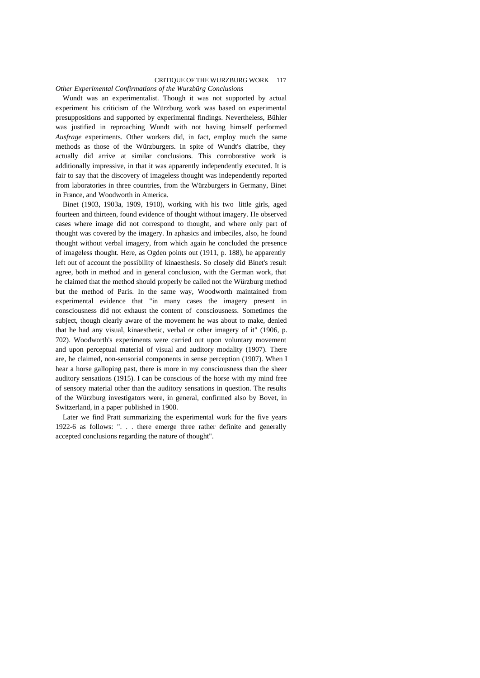# *Other Experimental Confirmations of the Wurzbürg Conclusions*

Wundt was an experimentalist. Though it was not supported by actual experiment his criticism of the Würzburg work was based on experimental presuppositions and supported by experimental findings. Nevertheless, Bühler was justified in reproaching Wundt with not having himself performed *Ausfrage* experiments. Other workers did, in fact, employ much the same methods as those of the Würzburgers. In spite of Wundt's diatribe, they actually did arrive at similar conclusions. This corroborative work is additionally impressive, in that it was apparently independently executed. It is fair to say that the discovery of imageless thought was independently reported from laboratories in three countries, from the Würzburgers in Germany, Binet in France, and Woodworth in America.

Binet (1903, 1903a, 1909, 1910), working with his two little girls, aged fourteen and thirteen, found evidence of thought without imagery. He observed cases where image did not correspond to thought, and where only part of thought was covered by the imagery. In aphasics and imbeciles, also, he found thought without verbal imagery, from which again he concluded the presence of imageless thought. Here, as Ogden points out (1911, p. 188), he apparently left out of account the possibility of kinaesthesis. So closely did Binet's result agree, both in method and in general conclusion, with the German work, that he claimed that the method should properly be called not the Würzburg method but the method of Paris. In the same way, Woodworth maintained from experimental evidence that "in many cases the imagery present in consciousness did not exhaust the content of consciousness. Sometimes the subject, though clearly aware of the movement he was about to make, denied that he had any visual, kinaesthetic, verbal or other imagery of it" (1906, p. 702). Woodworth's experiments were carried out upon voluntary movement and upon perceptual material of visual and auditory modality (1907). There are, he claimed, non-sensorial components in sense perception (1907). When I hear a horse galloping past, there is more in my consciousness than the sheer auditory sensations (1915). I can be conscious of the horse with my mind free of sensory material other than the auditory sensations in question. The results of the Würzburg investigators were, in general, confirmed also by Bovet, in Switzerland, in a paper published in 1908.

Later we find Pratt summarizing the experimental work for the five years 1922-6 as follows: ". . . there emerge three rather definite and generally accepted conclusions regarding the nature of thought".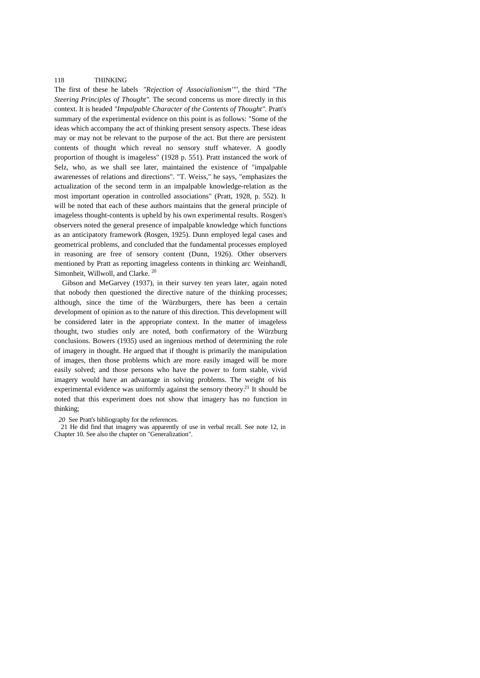The first of these he labels *"Rejection of Associalionism'"',* the third *"The Steering Principles of Thought".* The second concerns us more directly in this context. It is headed *"Impalpable Character of the Contents of Thought".* Pratt's summary of the experimental evidence on this point is as follows: "Some of the ideas which accompany the act of thinking present sensory aspects. These ideas may or may not be relevant to the purpose of the act. But there are persistent contents of thought which reveal no sensory stuff whatever. A goodly proportion of thought is imageless" (1928 p. 551). Pratt instanced the work of Selz, who, as we shall see later, maintained the existence of "impalpable awarenesses of relations and directions". "T. Weiss," he says, "emphasizes the actualization of the second term in an impalpable knowledge-relation as the most important operation in controlled associations" (Pratt, 1928, p. 552). It will be noted that each of these authors maintains that the general principle of imageless thought-contents is upheld by his own experimental results. Rosgen's observers noted the general presence of impalpable knowledge which functions as an anticipatory framework (Rosgen, 1925). Dunn employed legal cases and geometrical problems, and concluded that the fundamental processes employed in reasoning are free of sensory content (Dunn, 1926). Other observers mentioned by Pratt as reporting imageless contents in thinking arc Weinhandl, Simonheit, Willwoll, and Clarke. <sup>20</sup>

Gibson and MeGarvey (1937), in their survey ten years later, again noted that nobody then questioned the directive nature of the thinking processes; although, since the time of the Würzburgers, there has been a certain development of opinion as to the nature of this direction. This development will be considered later in the appropriate context. In the matter of imageless thought, two studies only are noted, both confirmatory of the Würzburg conclusions. Bowers (1935) used an ingenious method of determining the role of imagery in thought. He argued that if thought is primarily the manipulation of images, then those problems which are more easily imaged will be more easily solved; and those persons who have the power to form stable, vivid imagery would have an advantage in solving problems. The weight of his experimental evidence was uniformly against the sensory theory.<sup>21</sup> It should be noted that this experiment does not show that imagery has no function in thinking;

*20* See Pratt's bibliography for the references.

21 He did find that imagery was apparently of use in verbal recall. See note 12, in Chapter 10. See also the chapter on "Generalization".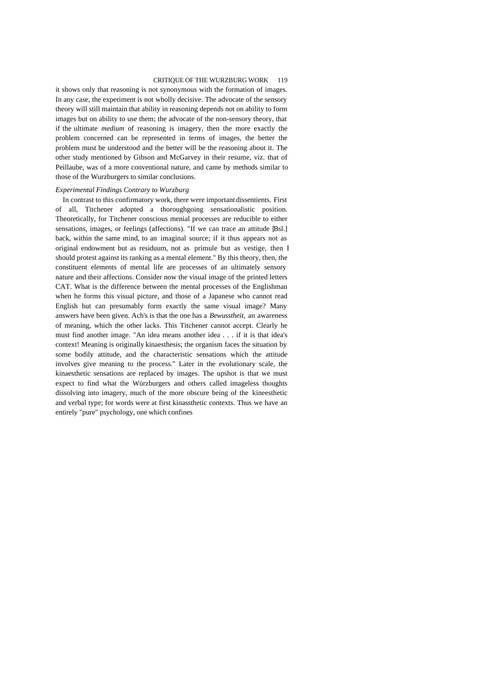it shows only that reasoning is not synonymous with the formation of images. In any case, the experiment is not wholly decisive. The advocate of the sensory theory will still maintain that ability in reasoning depends not on ability to form images but on ability to use them; the advocate of the non-sensory theory, that if the ultimate *medium* of reasoning is imagery, then the more exactly the problem concerned can be represented in terms of images, the better the problem must be understood and the better will be the reasoning about it. The other study mentioned by Gibson and McGarvey in their resume, viz. that of Peillaube, was of a more conventional nature, and came by methods similar to those of the Wurzburgers to similar conclusions.

#### *Experimental Findings Contrary to Wurzburg*

In contrast to this confirmatory work, there were important dissentients. First of all, Titchener adopted a thoroughgoing sensationalistic position. Theoretically, for Titchener conscious menial processes are reducible to either sensations, images, or feelings (affections). "If we can trace an attitude [Bsl.] back, within the same mind, to an imaginal source; if it thus appears not as original endowment but as residuum, not as primule but as vestige, then I should protest against its ranking as a mental element." By this theory, then, the constituent elements of mental life are processes of an ultimately sensory nature and their affections. Consider now the visual image of the printed letters CAT. What is the difference between the mental processes of the Englishman when he forms this visual picture, and those of a Japanese who cannot read English but can presumably form exactly the same visual image? Many answers have been given. Ach's is that the one has a *Bewusstheit,* an awareness of meaning, which the other lacks. This Titchener cannot accept. Clearly he must find another image. "An idea means another idea . . . if it is that idea's context! Meaning is originally kinaesthesis; the organism faces the situation by some bodily attitude, and the characteristic sensations which the attitude involves give meaning to the process." Later in the evolutionary scale, the kinaesthetic sensations are replaced by images. The upshot is that we must expect to find what the Würzburgers and others called imageless thoughts dissolving into imagery, much of the more obscure being of the kineesthetic and verbal type; for words were at first kinassthetic contexts. Thus we have an entirely "pure" psychology, one which confines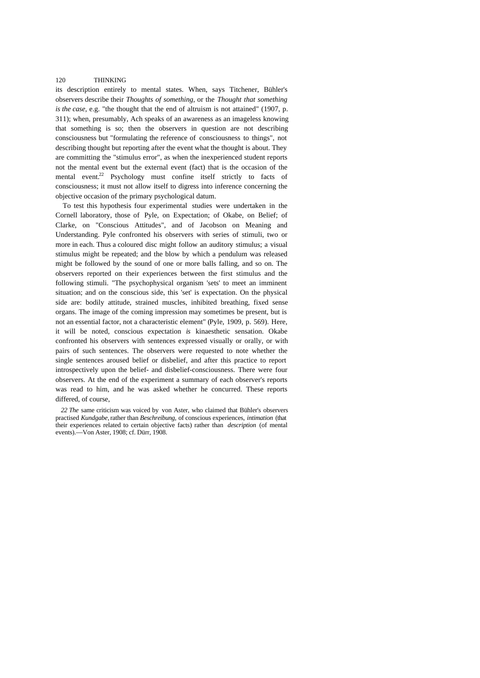its description entirely to mental states. When, says Titchener, Bühler's observers describe their *Thoughts of something,* or the *Thought that something is the case,* e.g. "the thought that the end of altruism is not attained" (1907, p. 311); when, presumably, Ach speaks of an awareness as an imageless knowing that something is so; then the observers in question are not describing consciousness but "formulating the reference of consciousness to things", not describing thought but reporting after the event what the thought is about. They are committing the "stimulus error", as when the inexperienced student reports not the mental event but the external event (fact) that is the occasion of the mental event.<sup>22</sup> Psychology must confine itself strictly to facts of consciousness; it must not allow itself to digress into inference concerning the objective occasion of the primary psychological datum.

To test this hypothesis four experimental studies were undertaken in the Cornell laboratory, those of Pyle, on Expectation; of Okabe, on Belief; of Clarke, on "Conscious Attitudes", and of Jacobson on Meaning and Understanding. Pyle confronted his observers with series of stimuli, two or more in each. Thus a coloured disc might follow an auditory stimulus; a visual stimulus might be repeated; and the blow by which a pendulum was released might be followed by the sound of one or more balls falling, and so on. The observers reported on their experiences between the first stimulus and the following stimuli. "The psychophysical organism 'sets' to meet an imminent situation; and on the conscious side, this 'set' is expectation. On the physical side are: bodily attitude, strained muscles, inhibited breathing, fixed sense organs. The image of the coming impression may sometimes be present, but is not an essential factor, not a characteristic element" (Pyle, 1909, p. 569). Here, it will be noted, conscious expectation *is* kinaesthetic sensation. Okabe confronted his observers with sentences expressed visually or orally, or with pairs of such sentences. The observers were requested to note whether the single sentences aroused belief or disbelief, and after this practice to report introspectively upon the belief- and disbelief-consciousness. There were four observers. At the end of the experiment a summary of each observer's reports was read to him, and he was asked whether he concurred. These reports differed, of course,

*22 The* same criticism was voiced by von Aster, who claimed that Bühler's observers practised *Kundgabe,* rather than *Beschreibung,* of conscious experiences, *intimation* (that their experiences related to certain objective facts) rather than *description* (of mental events).—Von Aster, 1908; cf. Dürr, 1908.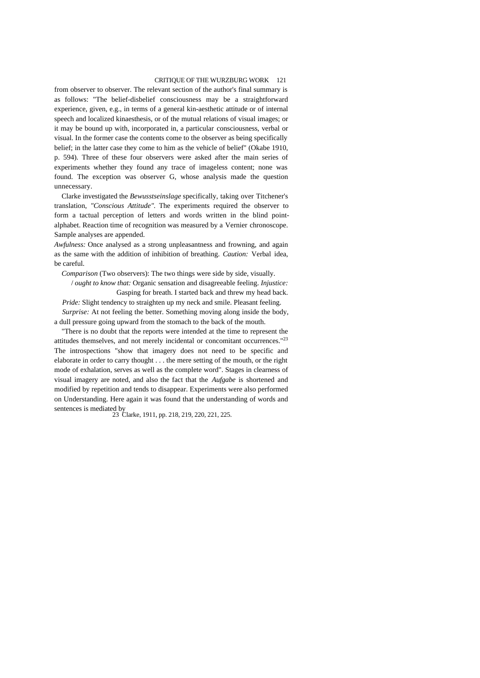from observer to observer. The relevant section of the author's final summary is as follows: "The belief-disbelief consciousness may be a straightforward experience, given, e.g., in terms of a general kin-aesthetic attitude or of internal speech and localized kinaesthesis, or of the mutual relations of visual images; or it may be bound up with, incorporated in, a particular consciousness, verbal or visual. In the former case the contents come to the observer as being specifically belief; in the latter case they come to him as the vehicle of belief" (Okabe 1910, p. 594). Three of these four observers were asked after the main series of experiments whether they found any trace of imageless content; none was found. The exception was observer G, whose analysis made the question unnecessary.

Clarke investigated the *Bewusstseinslage* specifically, taking over Titchener's translation, *"Conscious Attitude".* The experiments required the observer to form a tactual perception of letters and words written in the blind pointalphabet. Reaction time of recognition was measured by a Vernier chronoscope. Sample analyses are appended.

*Awfulness:* Once analysed as a strong unpleasantness and frowning, and again as the same with the addition of inhibition of breathing. *Caution:* Verbal idea, be careful.

*Comparison* (Two observers): The two things were side by side, visually.

/ *ought to know that:* Organic sensation and disagreeable feeling. *Injustice:* Gasping for breath. I started back and threw my head back.

*Pride:* Slight tendency to straighten up my neck and smile. Pleasant feeling. *Surprise:* At not feeling the better. Something moving along inside the body,

a dull pressure going upward from the stomach to the back of the mouth. "There is no doubt that the reports were intended at the time to represent the attitudes themselves, and not merely incidental or concomitant occurrences."<sup>23</sup> The introspections "show that imagery does not need to be specific and elaborate in order to carry thought . . . the mere setting of the mouth, or the right

mode of exhalation, serves as well as the complete word". Stages in clearness of visual imagery are noted, and also the fact that the *Aufgabe* is shortened and modified by repetition and tends to disappear. Experiments were also performed on Understanding. Here again it was found that the understanding of words and sentences is mediated by 23 Clarke, 1911, pp. 218, 219, 220, 221, 225.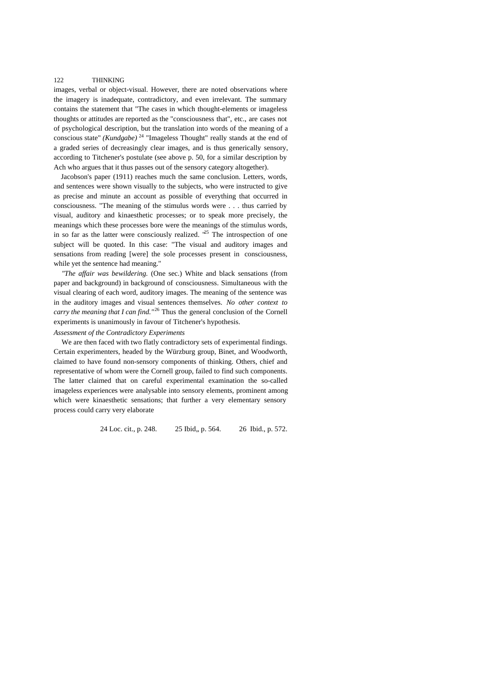images, verbal or object-visual. However, there are noted observations where the imagery is inadequate, contradictory, and even irrelevant. The summary contains the statement that "The cases in which thought-elements or imageless thoughts or attitudes are reported as the "consciousness that", etc., are cases not of psychological description, but the translation into words of the meaning of a conscious state" *(Kundgabe)* <sup>24</sup> "Imageless Thought" really stands at the end of a graded series of decreasingly clear images, and is thus generically sensory, according to Titchener's postulate (see above p. 50, for a similar description by Ach who argues that it thus passes out of the sensory category altogether).

Jacobson's paper (1911) reaches much the same conclusion. Letters, words, and sentences were shown visually to the subjects, who were instructed to give as precise and minute an account as possible of everything that occurred in consciousness. "The meaning of the stimulus words were . . . thus carried by visual, auditory and kinaesthetic processes; or to speak more precisely, the meanings which these processes bore were the meanings of the stimulus words, in so far as the latter were consciously realized.  $^{125}$  The introspection of one subject will be quoted. In this case: "The visual and auditory images and sensations from reading [were] the sole processes present in consciousness, while yet the sentence had meaning."

*"The affair was bewildering.* (One sec.) White and black sensations (from paper and background) in background of consciousness. Simultaneous with the visual clearing of each word, auditory images. The meaning of the sentence was in the auditory images and visual sentences themselves. *No other context to carry the meaning that I can find."*<sup>26</sup> Thus the general conclusion of the Cornell experiments is unanimously in favour of Titchener's hypothesis.

#### *Assessment of the Contradictory Experiments*

We are then faced with two flatly contradictory sets of experimental findings. Certain experimenters, headed by the Würzburg group, Binet, and Woodworth, claimed to have found non-sensory components of thinking. Others, chief and representative of whom were the Cornell group, failed to find such components. The latter claimed that on careful experimental examination the so-called imageless experiences were analysable into sensory elements, prominent among which were kinaesthetic sensations; that further a very elementary sensory process could carry very elaborate

24 Loc. cit., p. 248. 25 Ibid., p. 564. 26 Ibid., p. 572.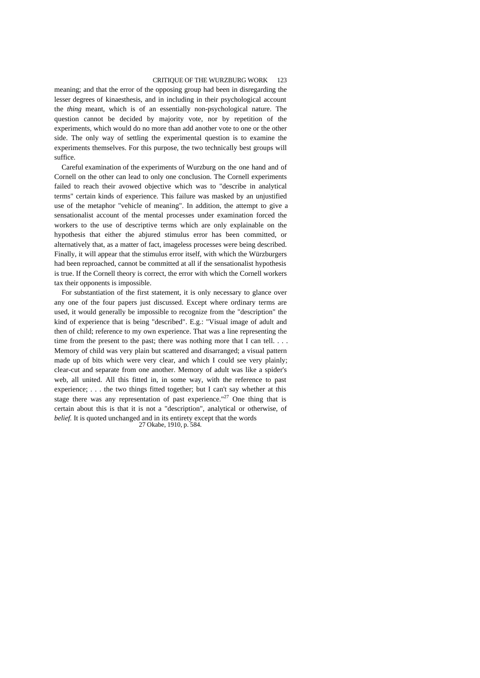meaning; and that the error of the opposing group had been in disregarding the lesser degrees of kinaesthesis, and in including in their psychological account the *thing* meant, which is of an essentially non-psychological nature. The question cannot be decided by majority vote, nor by repetition of the experiments, which would do no more than add another vote to one or the other side. The only way of settling the experimental question is to examine the experiments themselves. For this purpose, the two technically best groups will suffice.

Careful examination of the experiments of Wurzburg on the one hand and of Cornell on the other can lead to only one conclusion. The Cornell experiments failed to reach their avowed objective which was to "describe in analytical terms" certain kinds of experience. This failure was masked by an unjustified use of the metaphor "vehicle of meaning". In addition, the attempt to give a sensationalist account of the mental processes under examination forced the workers to the use of descriptive terms which are only explainable on the hypothesis that either the abjured stimulus error has been committed, or alternatively that, as a matter of fact, imageless processes were being described. Finally, it will appear that the stimulus error itself, with which the Würzburgers had been reproached, cannot be committed at all if the sensationalist hypothesis is true. If the Cornell theory is correct, the error with which the Cornell workers tax their opponents is impossible.

For substantiation of the first statement, it is only necessary to glance over any one of the four papers just discussed. Except where ordinary terms are used, it would generally be impossible to recognize from the "description" the kind of experience that is being "described". E.g.: "Visual image of adult and then of child; reference to my own experience. That was a line representing the time from the present to the past; there was nothing more that I can tell. . . . Memory of child was very plain but scattered and disarranged; a visual pattern made up of bits which were very clear, and which I could see very plainly; clear-cut and separate from one another. Memory of adult was like a spider's web, all united. All this fitted in, in some way, with the reference to past experience; . . . the two things fitted together; but I can't say whether at this stage there was any representation of past experience."<sup>27</sup> One thing that is certain about this is that it is not a "description", analytical or otherwise, of *belief.* It is quoted unchanged and in its entirety except that the words

27 Okabe, 1910, p. 584.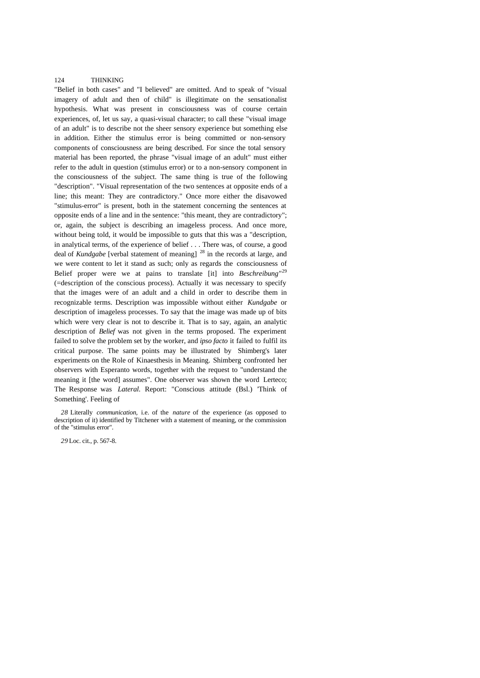"Belief in both cases" and "I believed" are omitted. And to speak of "visual imagery of adult and then of child" is illegitimate on the sensationalist hypothesis. What was present in consciousness was of course certain experiences, of, let us say, a quasi-visual character; to call these "visual image of an adult" is to describe not the sheer sensory experience but something else in addition. Either the stimulus error is being committed or non-sensory components of consciousness are being described. For since the total sensory material has been reported, the phrase "visual image of an adult" must either refer to the adult in question (stimulus error) or to a non-sensory component in the consciousness of the subject. The same thing is true of the following "description". "Visual representation of the two sentences at opposite ends of a line; this meant: They are contradictory." Once more either the disavowed "stimulus-error" is present, both in the statement concerning the sentences at opposite ends of a line and in the sentence: "this meant, they are contradictory"; or, again, the subject is describing an imageless process. And once more, without being told, it would be impossible to guts that this was a "description, in analytical terms, of the experience of belief . . . There was, of course, a good deal of *Kundgabe* [verbal statement of meaning] <sup>28</sup> in the records at large, and we were content to let it stand as such; only as regards the consciousness of Belief proper were we at pains to translate [it] into *Beschreibung"*<sup>29</sup> (=description of the conscious process). Actually it was necessary to specify that the images were of an adult and a child in order to describe them in recognizable terms. Description was impossible without either *Kundgabe* or description of imageless processes. To say that the image was made up of bits which were very clear is not to describe it. That is to say, again, an analytic description of *Belief* was not given in the terms proposed. The experiment failed to solve the problem set by the worker, and *ipso facto* it failed to fulfil its critical purpose. The same points may be illustrated by Shimberg's later experiments on the Role of Kinaesthesis in Meaning. Shimberg confronted her observers with Esperanto words, together with the request to "understand the meaning it [the word] assumes". One observer was shown the word Lerteco; The Response was *Lateral.* Report: "Conscious attitude (Bsl.) 'Think of Something'. Feeling of

*28* Literally *communication,* i.e. of the *nature* of the experience (as opposed to description of it) identified by Titchener with a statement of meaning, or the commission of the "stimulus error".

*29* Loc. cit., p. 567-8.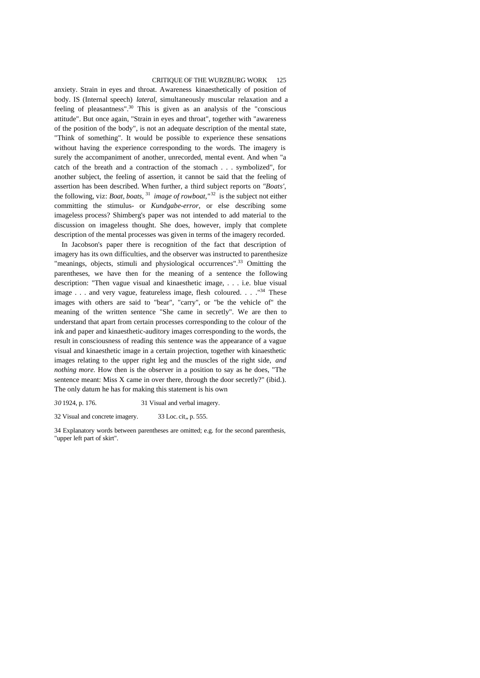anxiety. Strain in eyes and throat. Awareness kinaesthetically of position of body. IS (Internal speech) *lateral,* simultaneously muscular relaxation and a feeling of pleasantness".<sup>30</sup> This is given as an analysis of the "conscious attitude". But once again, "Strain in eyes and throat", together with "awareness of the position of the body", is not an adequate description of the mental state, "Think of something". It would be possible to experience these sensations without having the experience corresponding to the words. The imagery is surely the accompaniment of another, unrecorded, mental event. And when "a catch of the breath and a contraction of the stomach . . . symbolized", for another subject, the feeling of assertion, it cannot be said that the feeling of assertion has been described. When further, a third subject reports on *"Boats',* the following, viz: *Boat, boats,* <sup>31</sup> *image of rowboat,"* <sup>32</sup> is the subject not either committing the stimulus- or *Kundgabe-error,* or else describing some imageless process? Shimberg's paper was not intended to add material to the discussion on imageless thought. She does, however, imply that complete description of the mental processes was given in terms of the imagery recorded.

In Jacobson's paper there is recognition of the fact that description of imagery has its own difficulties, and the observer was instructed to parenthesize "meanings, objects, stimuli and physiological occurrences".<sup>33</sup> Omitting the parentheses, we have then for the meaning of a sentence the following description: "Then vague visual and kinaesthetic image, . . . i.e. blue visual image . . . and very vague, featureless image, flesh coloured. . . . "<sup>34</sup> These images with others are said to "bear", "carry", or "be the vehicle of" the meaning of the written sentence "She came in secretly". We are then to understand that apart from certain processes corresponding to the colour of the ink and paper and kinaesthetic-auditory images corresponding to the words, the result in consciousness of reading this sentence was the appearance of a vague visual and kinaesthetic image in a certain projection, together with kinaesthetic images relating to the upper right leg and the muscles of the right side, *and nothing more.* How then is the observer in a position to say as he does, "The sentence meant: Miss X came in over there, through the door secretly?" (ibid.). The only datum he has for making this statement is his own

*30* 1924, p. 176. 31 Visual and verbal imagery.

32 Visual and concrete imagery. 33 Loc. cit., p. 555.

34 Explanatory words between parentheses are omitted; e.g. for the second parenthesis, "upper left part of skirt".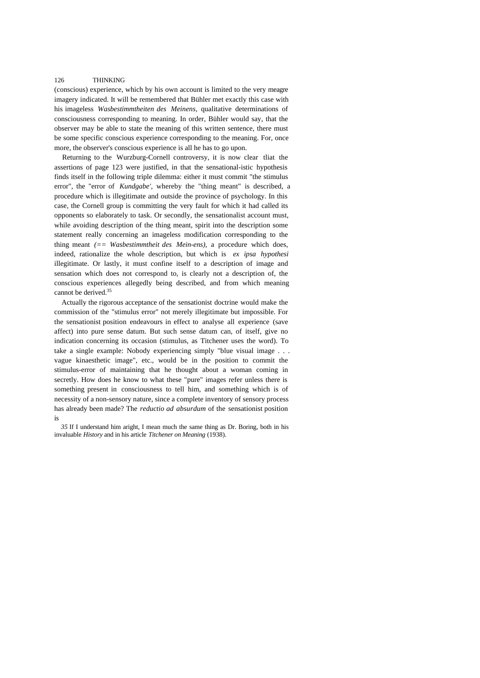(conscious) experience, which by his own account is limited to the very meagre imagery indicated. It will be remembered that Bühler met exactly this case with his imageless *Wasbestimmtheiten des Meinens,* qualitative determinations of consciousness corresponding to meaning. In order, Bühler would say, that the observer may be able to state the meaning of this written sentence, there must be some specific conscious experience corresponding to the meaning. For, once more, the observer's conscious experience is all he has to go upon.

Returning to the Wurzburg-Cornell controversy, it is now clear tliat the assertions of page 123 were justified, in that the sensational-istic hypothesis finds itself in the following triple dilemma: either it must commit "the stimulus error", the "error of *Kundgabe',* whereby the "thing meant" is described, a procedure which is illegitimate and outside the province of psychology. In this case, the Cornell group is committing the very fault for which it had called its opponents so elaborately to task. Or secondly, the sensationalist account must, while avoiding description of the thing meant, spirit into the description some statement really concerning an imageless modification corresponding to the thing meant *(== Wasbestimmtheit des Mein-ens),* a procedure which does, indeed, rationalize the whole description, but which is *ex ipsa hypothesi* illegitimate. Or lastly, it must confine itself to a description of image and sensation which does not correspond to, is clearly not a description of, the conscious experiences allegedly being described, and from which meaning cannot be derived.<sup>35</sup>

Actually the rigorous acceptance of the sensationist doctrine would make the commission of the "stimulus error" not merely illegitimate but impossible. For the sensationist position endeavours in effect to analyse all experience (save affect) into pure sense datum. But such sense datum can, of itself, give no indication concerning its occasion (stimulus, as Titchener uses the word). To take a single example: Nobody experiencing simply "blue visual image . . . vague kinaesthetic image", etc., would be in the position to commit the stimulus-error of maintaining that he thought about a woman coming in secretly. How does he know to what these "pure" images refer unless there is something present in consciousness to tell him, and something which is of necessity of a non-sensory nature, since a complete inventory of sensory process has already been made? The *reductio ad absurdum* of the sensationist position is

*<sup>35</sup>* If I understand him aright, I mean much the same thing as Dr. Boring, both in his invaluable *History* and in his article *Titchener on Meaning* (1938).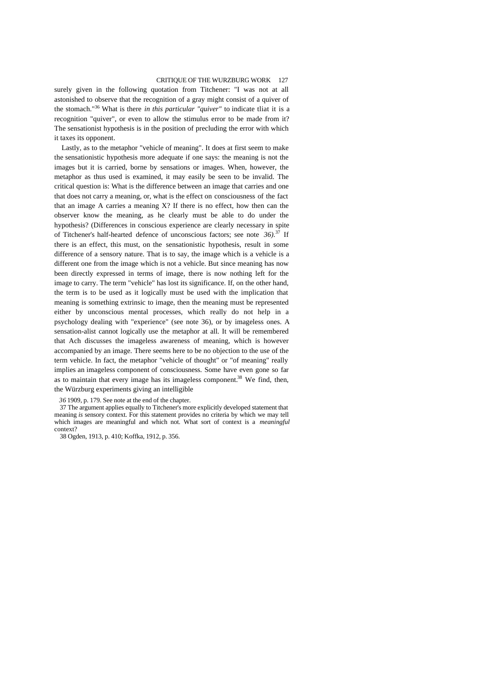surely given in the following quotation from Titchener: "I was not at all astonished to observe that the recognition of a gray might consist of a quiver of the stomach."<sup>36</sup> What is there *in this particular "quiver"* to indicate tliat it is a recognition "quiver", or even to allow the stimulus error to be made from it? The sensationist hypothesis is in the position of precluding the error with which it taxes its opponent.

Lastly, as to the metaphor "vehicle of meaning". It does at first seem to make the sensationistic hypothesis more adequate if one says: the meaning is not the images but it is carried, borne by sensations or images. When, however, the metaphor as thus used is examined, it may easily be seen to be invalid. The critical question is: What is the difference between an image that carries and one that does not carry a meaning, or, what is the effect on consciousness of the fact that an image A carries a meaning X? If there is no effect, how then can the observer know the meaning, as he clearly must be able to do under the hypothesis? (Differences in conscious experience are clearly necessary in spite of Titchener's half-hearted defence of unconscious factors; see note *36).*<sup>37</sup> If there is an effect, this must, on the sensationistic hypothesis, result in some difference of a sensory nature. That is to say, the image which is a vehicle is a different one from the image which is not a vehicle. But since meaning has now been directly expressed in terms of image, there is now nothing left for the image to carry. The term "vehicle" has lost its significance. If, on the other hand, the term is to be used as it logically must be used with the implication that meaning is something extrinsic to image, then the meaning must be represented either by unconscious mental processes, which really do not help in a psychology dealing with "experience" (see note 36), or by imageless ones. A sensation-alist cannot logically use the metaphor at all. It will be remembered that Ach discusses the imageless awareness of meaning, which is however accompanied by an image. There seems here to be no objection to the use of the term vehicle. In fact, the metaphor "vehicle of thought" or "of meaning" really implies an imageless component of consciousness. Some have even gone so far as to maintain that every image has its imageless component.<sup>38</sup> We find, then, the Würzburg experiments giving an intelligible

*36* 1909, p. 179. See note at the end of the chapter.

37 The argument applies equally to Titchener's more explicitly developed statement that meaning *is* sensory context. For this statement provides no criteria by which we may tell which images are meaningful and which not. What sort of context is a *meaningful* context?

<sup>38</sup> Ogden, 1913, p. 410; Koffka, 1912, p. 356.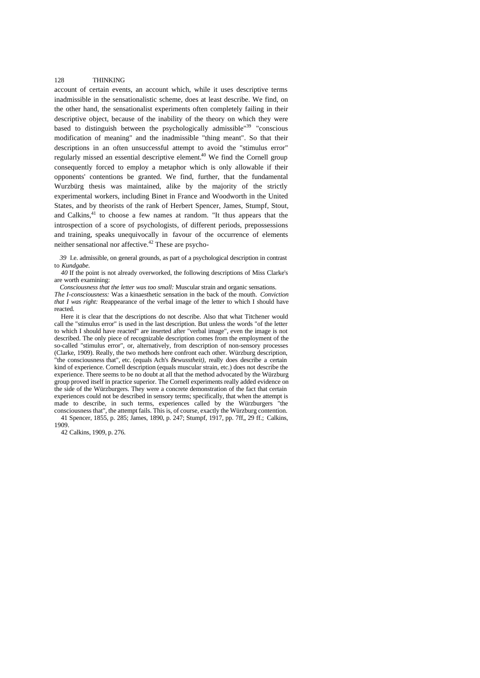account of certain events, an account which, while it uses descriptive terms inadmissible in the sensationalistic scheme, does at least describe. We find, on the other hand, the sensationalist experiments often completely failing in their descriptive object, because of the inability of the theory on which they were based to distinguish between the psychologically admissible"<sup>39</sup> "conscious modification of meaning" and the inadmissible "thing meant". So that their descriptions in an often unsuccessful attempt to avoid the "stimulus error" regularly missed an essential descriptive element.<sup>40</sup> We find the Cornell group consequently forced to employ a metaphor which is only allowable if their opponents' contentions be granted. We find, further, that the fundamental Wurzbürg thesis was maintained, alike by the majority of the strictly experimental workers, including Binet in France and Woodworth in the United States, and by theorists of the rank of Herbert Spencer, James, Stumpf, Stout, and Calkins,<sup>41</sup> to choose a few names at random. "It thus appears that the introspection of a score of psychologists, of different periods, prepossessions and training, speaks unequivocally in favour of the occurrence of elements neither sensational nor affective.<sup>42</sup> These are psycho-

*39* I.e. admissible, on general grounds, as part of a psychological description in contrast to *Kundgabe.*

*40* If the point is not already overworked, the following descriptions of Miss Clarke's are worth examining:

*Consciousness that the letter was too small:* Muscular strain and organic sensations.

*The I-consciousness:* Was a kinaesthetic sensation in the back of the mouth. *Conviction that I was right:* Reappearance of the verbal image of the letter to which I should have reacted.

Here it is clear that the descriptions do not describe. Also that what Titchener would call the "stimulus error" is used in the last description. But unless the words "of the letter to which I should have reacted" are inserted after "verbal image", even the image is not described. The only piece of recognizable description comes from the employment of the so-called "stimulus error", or, alternatively, from description of non-sensory processes (Clarke, 1909). Really, the two methods here confront each other. Würzburg description, "the consciousness that", etc. (equals Ach's *Bewusstheit),* really does describe a certain kind of experience. Cornell description (equals muscular strain, etc.) does not describe the experience. There seems to be no doubt at all that the method advocated by the Würzburg group proved itself in practice superior. The Cornell experiments really added evidence on the side of the Würzburgers. They were a concrete demonstration of the fact that certain experiences could not be described in sensory terms; specifically, that when the attempt is made to describe, in such terms, experiences called by the Würzburgers "the consciousness that", the attempt fails. This is, of course, exactly the Würzburg contention.

41 Spencer, 1855, p. 285; James, 1890, p. 247; Stumpf, 1917, pp. 7ff,, 29 ff.; Calkins, 1909.

42 Calkins, 1909, p. 276.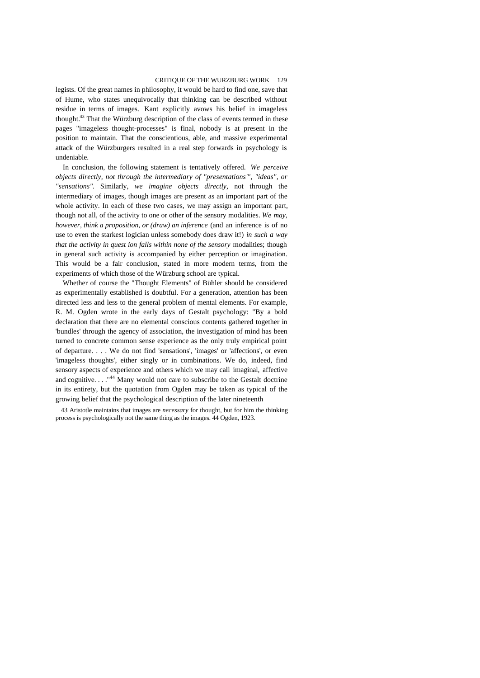legists. Of the great names in philosophy, it would be hard to find one, save that of Hume, who states unequivocally that thinking can be described without residue in terms of images. Kant explicitly avows his belief in imageless thought.<sup>43</sup> That the Würzburg description of the class of events termed in these pages "imageless thought-processes" is final, nobody is at present in the position to maintain. That the conscientious, able, and massive experimental attack of the Würzburgers resulted in a real step forwards in psychology is undeniable.

In conclusion, the following statement is tentatively offered. *We perceive objects directly, not through the intermediary of "presentations'", "ideas", or "sensations".* Similarly, *we imagine objects directly,* not through the intermediary of images, though images are present as an important part of the whole activity. In each of these two cases, we may assign an important part, though not all, of the activity to one or other of the sensory modalities. *We may, however, think a proposition, or (draw) an inference* (and an inference is of no use to even the starkest logician unless somebody does draw it!) *in such a way that the activity in quest ion falls within none of the sensory* modalities; though in general such activity is accompanied by either perception or imagination. This would be a fair conclusion, stated in more modern terms, from the experiments of which those of the Würzburg school are typical.

Whether of course the "Thought Elements" of Bühler should be considered as experimentally established is doubtful. For a generation, attention has been directed less and less to the general problem of mental elements. For example, R. M. Ogden wrote in the early days of Gestalt psychology: "By a bold declaration that there are no elemental conscious contents gathered together in 'bundles' through the agency of association, the investigation of mind has been turned to concrete common sense experience as the only truly empirical point of departure. . . . We do not find 'sensations', 'images' or 'affections', or even 'imageless thoughts', either singly or in combinations. We do, indeed, find sensory aspects of experience and others which we may call imaginal, affective and cognitive. . . . "<sup>44</sup> Many would not care to subscribe to the Gestalt doctrine in its entirety, but the quotation from Ogden may be taken as typical of the growing belief that the psychological description of the later nineteenth

43 Aristotle maintains that images are *necessary* for thought, but for him the thinking process is psychologically not the same thing as the images. 44 Ogden, 1923.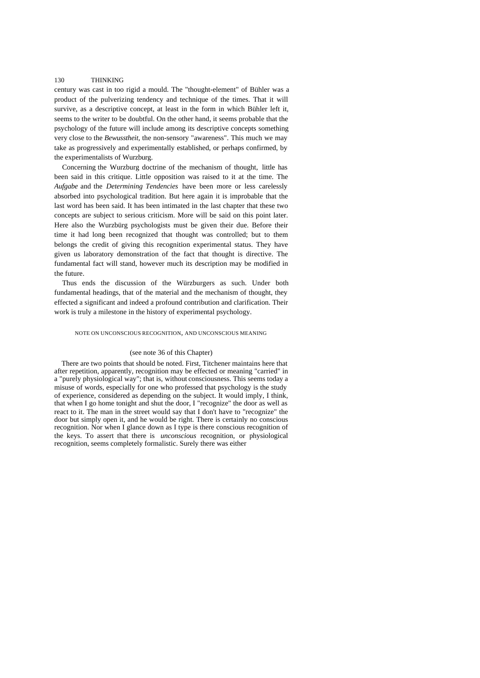century was cast in too rigid a mould. The "thought-element" of Bühler was a product of the pulverizing tendency and technique of the times. That it will survive, as a descriptive concept, at least in the form in which Bühler left it, seems to the writer to be doubtful. On the other hand, it seems probable that the psychology of the future will include among its descriptive concepts something very close to the *Bewusstheit,* the non-sensory "awareness". This much we may take as progressively and experimentally established, or perhaps confirmed, by the experimentalists of Wurzburg.

Concerning the Wurzburg doctrine of the mechanism of thought, little has been said in this critique. Little opposition was raised to it at the time. The *Aufgabe* and the *Determining Tendencies* have been more or less carelessly absorbed into psychological tradition. But here again it is improbable that the last word has been said. It has been intimated in the last chapter that these two concepts are subject to serious criticism. More will be said on this point later. Here also the Wurzbürg psychologists must be given their due. Before their time it had long been recognized that thought was controlled; but to them belongs the credit of giving this recognition experimental status. They have given us laboratory demonstration of the fact that thought is directive. The fundamental fact will stand, however much its description may be modified in the future.

Thus ends the discussion of the Würzburgers as such. Under both fundamental headings, that of the material and the mechanism of thought, they effected a significant and indeed a profound contribution and clarification. Their work is truly a milestone in the history of experimental psychology.

# NOTE ON UNCONSCIOUS RECOGNITION, AND UNCONSCIOUS MEANING

#### (see note 36 of this Chapter)

There are two points that should be noted. First, Titchener maintains here that after repetition, apparently, recognition may be effected or meaning "carried" in a "purely physiological way"; that is, without consciousness. This seems today a misuse of words, especially for one who professed that psychology is the study of experience, considered as depending on the subject. It would imply, I think, that when I go home tonight and shut the door, I "recognize" the door as well as react to it. The man in the street would say that I don't have to "recognize" the door but simply open it, and he would be right. There is certainly no conscious recognition. Nor when I glance down as I type is there conscious recognition of the keys. To assert that there is *unconscious* recognition, or physiological recognition, seems completely formalistic. Surely there was either